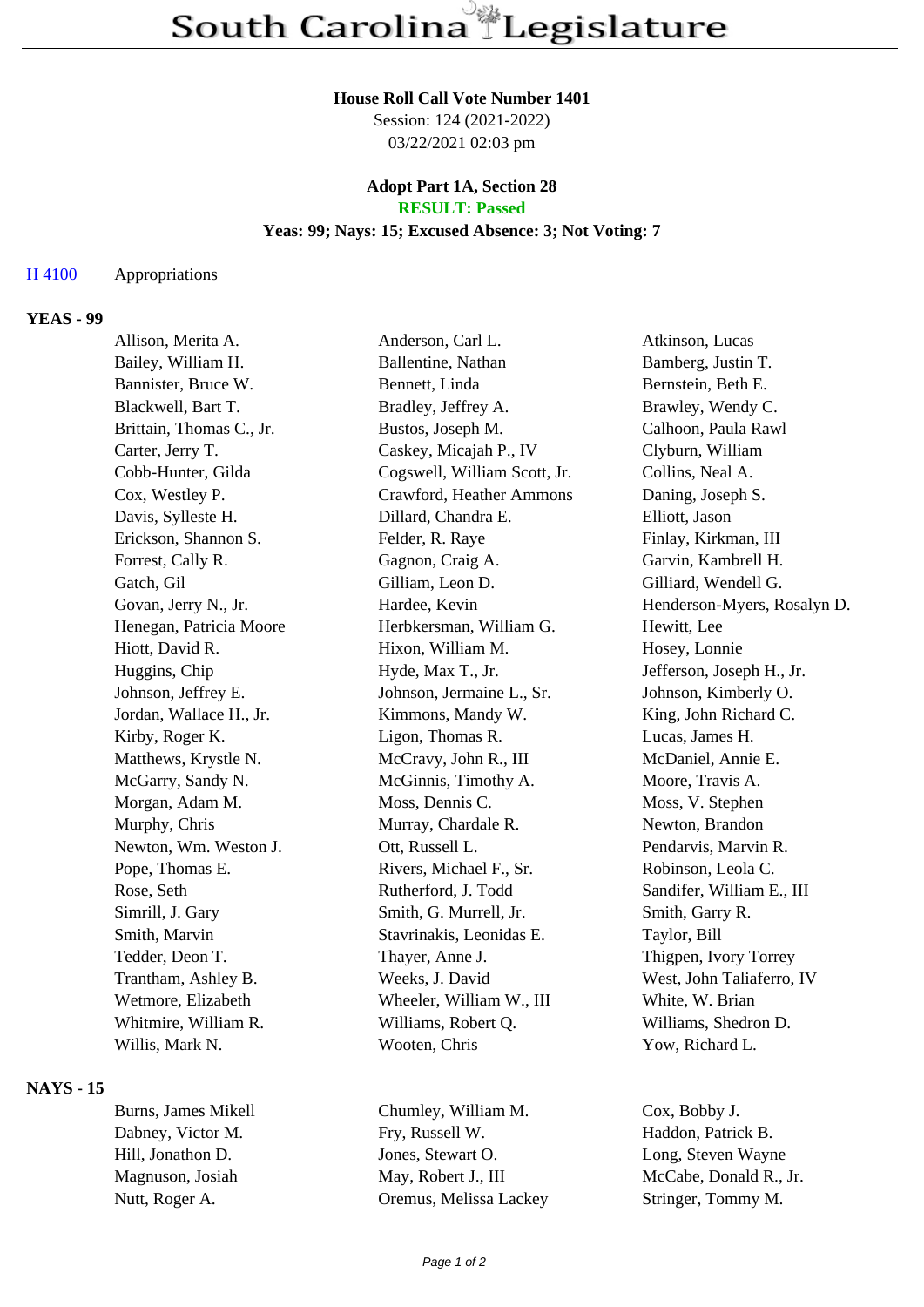#### **House Roll Call Vote Number 1401**

Session: 124 (2021-2022) 03/22/2021 02:03 pm

### **Adopt Part 1A, Section 28 RESULT: Passed**

### **Yeas: 99; Nays: 15; Excused Absence: 3; Not Voting: 7**

### H 4100 Appropriations

## **YEAS - 99**

| Allison, Merita A.       | Anderson, Carl L.            | Atkinson, Lucas             |
|--------------------------|------------------------------|-----------------------------|
| Bailey, William H.       | Ballentine, Nathan           | Bamberg, Justin T.          |
| Bannister, Bruce W.      | Bennett, Linda               | Bernstein, Beth E.          |
| Blackwell, Bart T.       | Bradley, Jeffrey A.          | Brawley, Wendy C.           |
| Brittain, Thomas C., Jr. | Bustos, Joseph M.            | Calhoon, Paula Rawl         |
| Carter, Jerry T.         | Caskey, Micajah P., IV       | Clyburn, William            |
| Cobb-Hunter, Gilda       | Cogswell, William Scott, Jr. | Collins, Neal A.            |
| Cox, Westley P.          | Crawford, Heather Ammons     | Daning, Joseph S.           |
| Davis, Sylleste H.       | Dillard, Chandra E.          | Elliott, Jason              |
| Erickson, Shannon S.     | Felder, R. Raye              | Finlay, Kirkman, III        |
| Forrest, Cally R.        | Gagnon, Craig A.             | Garvin, Kambrell H.         |
| Gatch, Gil               | Gilliam, Leon D.             | Gilliard, Wendell G.        |
| Govan, Jerry N., Jr.     | Hardee, Kevin                | Henderson-Myers, Rosalyn D. |
| Henegan, Patricia Moore  | Herbkersman, William G.      | Hewitt, Lee                 |
| Hiott, David R.          | Hixon, William M.            | Hosey, Lonnie               |
| Huggins, Chip            | Hyde, Max T., Jr.            | Jefferson, Joseph H., Jr.   |
| Johnson, Jeffrey E.      | Johnson, Jermaine L., Sr.    | Johnson, Kimberly O.        |
| Jordan, Wallace H., Jr.  | Kimmons, Mandy W.            | King, John Richard C.       |
| Kirby, Roger K.          | Ligon, Thomas R.             | Lucas, James H.             |
| Matthews, Krystle N.     | McCravy, John R., III        | McDaniel, Annie E.          |
| McGarry, Sandy N.        | McGinnis, Timothy A.         | Moore, Travis A.            |
| Morgan, Adam M.          | Moss, Dennis C.              | Moss, V. Stephen            |
| Murphy, Chris            | Murray, Chardale R.          | Newton, Brandon             |
| Newton, Wm. Weston J.    | Ott, Russell L.              | Pendarvis, Marvin R.        |
| Pope, Thomas E.          | Rivers, Michael F., Sr.      | Robinson, Leola C.          |
| Rose, Seth               | Rutherford, J. Todd          | Sandifer, William E., III   |
| Simrill, J. Gary         | Smith, G. Murrell, Jr.       | Smith, Garry R.             |
| Smith, Marvin            | Stavrinakis, Leonidas E.     | Taylor, Bill                |
| Tedder, Deon T.          | Thayer, Anne J.              | Thigpen, Ivory Torrey       |
| Trantham, Ashley B.      | Weeks, J. David              | West, John Taliaferro, IV   |
| Wetmore, Elizabeth       | Wheeler, William W., III     | White, W. Brian             |
| Whitmire, William R.     | Williams, Robert Q.          | Williams, Shedron D.        |
| Willis, Mark N.          | Wooten, Chris                | Yow, Richard L.             |

# **NAYS - 15**

Burns, James Mikell Chumley, William M. Cox, Bobby J. Dabney, Victor M. Fry, Russell W. Haddon, Patrick B. Hill, Jonathon D. Jones, Stewart O. Long, Steven Wayne Magnuson, Josiah May, Robert J., III McCabe, Donald R., Jr. Nutt, Roger A. Charles Coremus, Melissa Lackey Stringer, Tommy M.